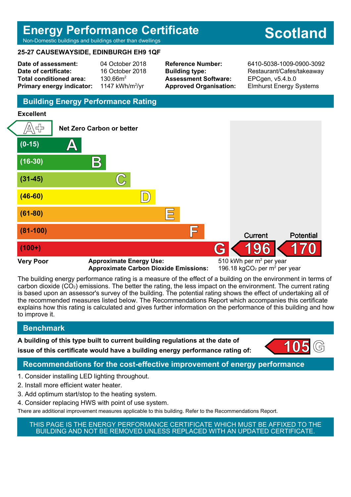# **Energy Performance Certificate** Non-Domestic buildings and buildings other than dwellings

# **Scotland**

## **25-27 CAUSEWAYSIDE, EDINBURGH EH9 1QF**

**Date of assessment:** 04 October 2018 **Date of certificate:** 16 October 2018 Total conditioned area: 130.66m<sup>2</sup> **Primary energy indicator:** 

1147 kWh/m<sup>2</sup>/vr

**Assessment Software:** EPCgen, v5.4.b.0

**Reference Number:** 6410-5038-1009-0900-3092 **Building type:** Restaurant/Cafes/takeaway **Approved Organisation:** Elmhurst Energy Systems

# **Building Energy Performance Rating**

## **Excellent**



**Approximate Carbon Dioxide Emissions:** 

196.18 kgCO<sub>2</sub> per  $m<sup>2</sup>$  per year

The building energy performance rating is a measure of the effect of a building on the environment in terms of carbon dioxide (CO2) emissions. The better the rating, the less impact on the environment. The current rating is based upon an assessor's survey of the building. The potential rating shows the effect of undertaking all of the recommended measures listed below. The Recommendations Report which accompanies this certificate explains how this rating is calculated and gives further information on the performance of this building and how to improve it.

# **Benchmark**

**A building of this type built to current building regulations at the date of issue of this certificate would have a building energy performance rating of:** 



# **Recommendations for the cost-effective improvement of energy performance**

- 1. Consider installing LED lighting throughout.
- 2. Install more efficient water heater.
- 3. Add optimum start/stop to the heating system.
- 4. Consider replacing HWS with point of use system.

There are additional improvement measures applicable to this building. Refer to the Recommendations Report.

THIS PAGE IS THE ENERGY PERFORMANCE CERTIFICATE WHICH MUST BE AFFIXED TO THE BUILDING AND NOT BE REMOVED UNLESS REPLACED WITH AN UPDATED CERTIFICATE.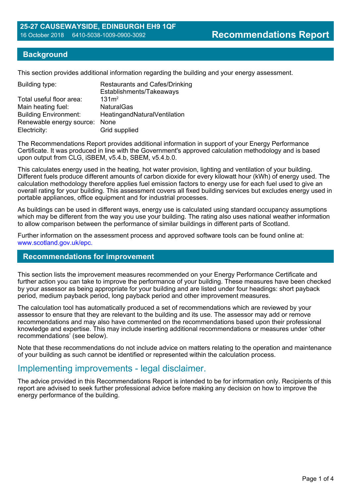## **Background**

This section provides additional information regarding the building and your energy assessment.

| <b>Restaurants and Cafes/Drinking</b><br>Establishments/Takeaways |
|-------------------------------------------------------------------|
| 131m <sup>2</sup>                                                 |
| <b>NaturalGas</b>                                                 |
| HeatingandNaturalVentilation                                      |
| Renewable energy source: None                                     |
| Grid supplied                                                     |
|                                                                   |

The Recommendations Report provides additional information in support of your Energy Performance Certificate. It was produced in line with the Government's approved calculation methodology and is based upon output from CLG, iSBEM, v5.4.b, SBEM, v5.4.b.0.

This calculates energy used in the heating, hot water provision, lighting and ventilation of your building. Different fuels produce different amounts of carbon dioxide for every kilowatt hour (kWh) of energy used. The calculation methodology therefore applies fuel emission factors to energy use for each fuel used to give an overall rating for your building. This assessment covers all fixed building services but excludes energy used in portable appliances, office equipment and for industrial processes.

As buildings can be used in different ways, energy use is calculated using standard occupancy assumptions which may be different from the way you use your building. The rating also uses national weather information to allow comparison between the performance of similar buildings in different parts of Scotland.

Further information on the assessment process and approved software tools can be found online at: www.scotland.gov.uk/epc.

### **Recommendations for improvement**

This section lists the improvement measures recommended on your Energy Performance Certificate and further action you can take to improve the performance of your building. These measures have been checked by your assessor as being appropriate for your building and are listed under four headings: short payback period, medium payback period, long payback period and other improvement measures.

The calculation tool has automatically produced a set of recommendations which are reviewed by your assessor to ensure that they are relevant to the building and its use. The assessor may add or remove recommendations and may also have commented on the recommendations based upon their professional knowledge and expertise. This may include inserting additional recommendations or measures under 'other recommendations' (see below).

Note that these recommendations do not include advice on matters relating to the operation and maintenance of your building as such cannot be identified or represented within the calculation process.

# Implementing improvements - legal disclaimer.

The advice provided in this Recommendations Report is intended to be for information only. Recipients of this report are advised to seek further professional advice before making any decision on how to improve the energy performance of the building.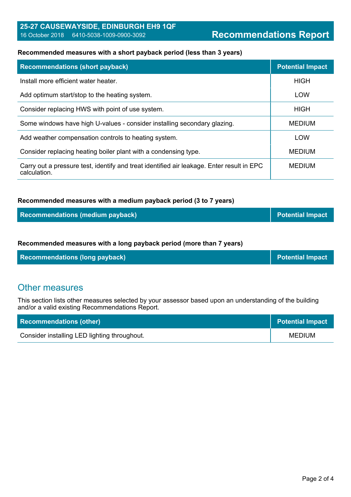#### **Recommended measures with a short payback period (less than 3 years)**

| <b>Recommendations (short payback)</b>                                                                    | <b>Potential Impact</b> |
|-----------------------------------------------------------------------------------------------------------|-------------------------|
| Install more efficient water heater.                                                                      | <b>HIGH</b>             |
| Add optimum start/stop to the heating system.                                                             | <b>LOW</b>              |
| Consider replacing HWS with point of use system.                                                          | <b>HIGH</b>             |
| Some windows have high U-values - consider installing secondary glazing.                                  | <b>MEDIUM</b>           |
| Add weather compensation controls to heating system.                                                      | <b>LOW</b>              |
| Consider replacing heating boiler plant with a condensing type.                                           | <b>MEDIUM</b>           |
| Carry out a pressure test, identify and treat identified air leakage. Enter result in EPC<br>calculation. | <b>MEDIUM</b>           |

#### **Recommended measures with a medium payback period (3 to 7 years)**

| Recommendations (medium payback) | Potential Impact |
|----------------------------------|------------------|
|----------------------------------|------------------|

#### **Recommended measures with a long payback period (more than 7 years)**

| <b>Recommendations (long payback)</b> | <b>Potential Impact</b> |
|---------------------------------------|-------------------------|
|---------------------------------------|-------------------------|

# Other measures

This section lists other measures selected by your assessor based upon an understanding of the building and/or a valid existing Recommendations Report.

| <b>Recommendations (other)</b>               | <b>Potential Impact</b> |
|----------------------------------------------|-------------------------|
| Consider installing LED lighting throughout. | <b>MEDIUM</b>           |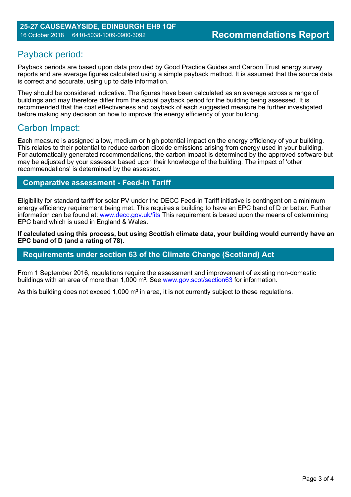# Payback period:

Payback periods are based upon data provided by Good Practice Guides and Carbon Trust energy survey reports and are average figures calculated using a simple payback method. It is assumed that the source data is correct and accurate, using up to date information.

They should be considered indicative. The figures have been calculated as an average across a range of buildings and may therefore differ from the actual payback period for the building being assessed. It is recommended that the cost effectiveness and payback of each suggested measure be further investigated before making any decision on how to improve the energy efficiency of your building.

# Carbon Impact:

Each measure is assigned a low, medium or high potential impact on the energy efficiency of your building. This relates to their potential to reduce carbon dioxide emissions arising from energy used in your building. For automatically generated recommendations, the carbon impact is determined by the approved software but may be adjusted by your assessor based upon their knowledge of the building. The impact of 'other recommendations' is determined by the assessor.

## **Comparative assessment - Feed-in Tariff**

Eligibility for standard tariff for solar PV under the DECC Feed-in Tariff initiative is contingent on a minimum energy efficiency requirement being met. This requires a building to have an EPC band of D or better. Further information can be found at: www.decc.gov.uk/fits This requirement is based upon the means of determining EPC band which is used in England & Wales.

**If calculated using this process, but using Scottish climate data, your building would currently have an EPC band of D (and a rating of 78).**

## **Requirements under section 63 of the Climate Change (Scotland) Act**

From 1 September 2016, regulations require the assessment and improvement of existing non-domestic buildings with an area of more than 1,000 m². See www.gov.scot/section63 for information.

As this building does not exceed 1,000 m<sup>2</sup> in area, it is not currently subject to these regulations.